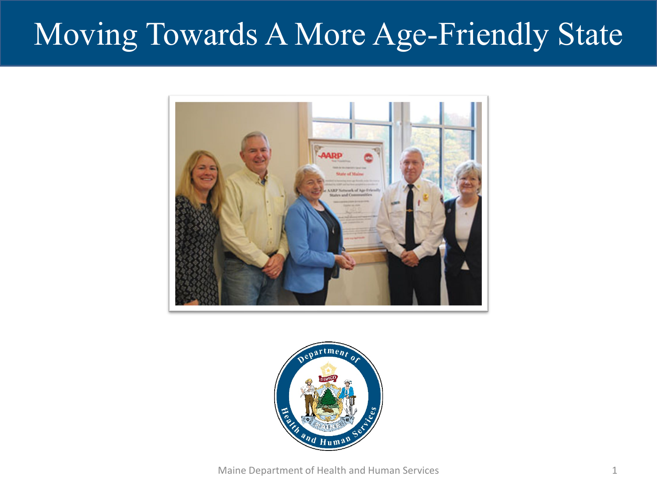# Moving Towards A More Age-Friendly State





Maine Department of Health and Human Services 1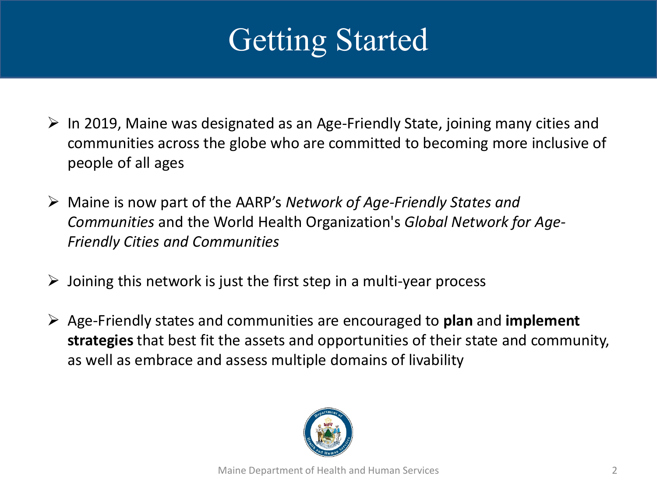# Getting Started

- $\triangleright$  In 2019, Maine was designated as an Age-Friendly State, joining many cities and communities across the globe who are committed to becoming more inclusive of people of all ages
- Maine is now part of the AARP's *Network of Age-Friendly States and Communities* and the World Health Organization's *Global Network for Age-Friendly Cities and Communities*
- $\triangleright$  Joining this network is just the first step in a multi-year process
- Age-Friendly states and communities are encouraged to **plan** and **implement strategies** that best fit the assets and opportunities of their state and community, as well as embrace and assess multiple domains of livability

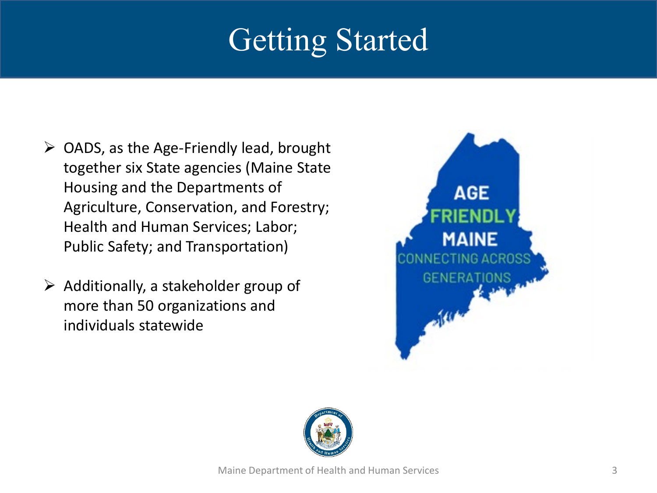# Getting Started

- $\triangleright$  OADS, as the Age-Friendly lead, brought together six State agencies (Maine State Housing and the Departments of Agriculture, Conservation, and Forestry; Health and Human Services; Labor; Public Safety; and Transportation)
- $\triangleright$  Additionally, a stakeholder group of more than 50 organizations and individuals statewide



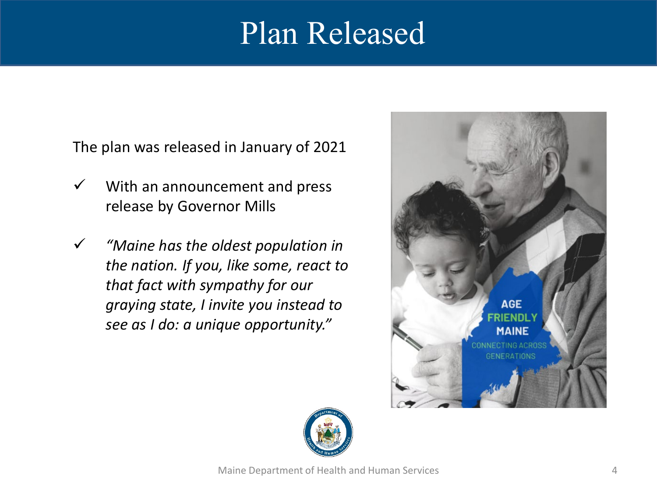## Plan Released

The plan was released in January of 2021

- $\checkmark$  With an announcement and press release by Governor Mills
- *"Maine has the oldest population in the nation. If you, like some, react to that fact with sympathy for our graying state, I invite you instead to see as I do: a unique opportunity."*



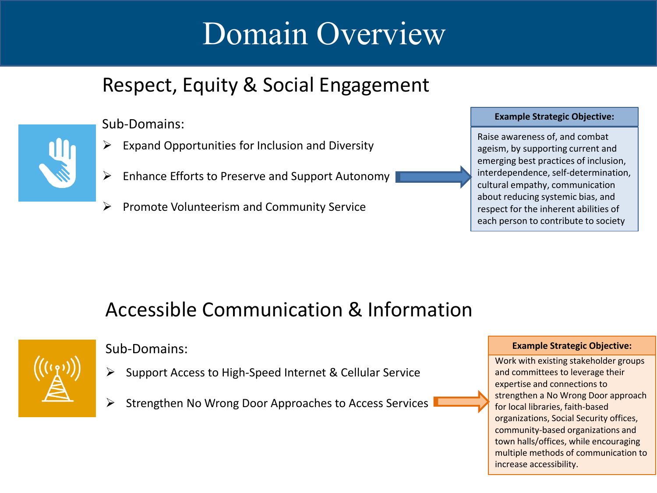### Respect, Equity & Social Engagement



#### Sub-Domains:

- Expand Opportunities for Inclusion and Diversity
- Enhance Efforts to Preserve and Support Autonomy
- $\triangleright$  Promote Volunteerism and Community Service

#### **Example Strategic Objective:**

Raise awareness of, and combat ageism, by supporting current and emerging best practices of inclusion, interdependence, self-determination, cultural empathy, communication about reducing systemic bias, and respect for the inherent abilities of each person to contribute to society

### Accessible Communication & Information



#### Sub-Domains:

- Support Access to High-Speed Internet & Cellular Service
- Strengthen No Wrong Door Approaches to Access Services

#### **Example Strategic Objective:**

5 Work with existing stakeholder groups and committees to leverage their expertise and connections to strengthen a No Wrong Door approach for local libraries, faith-based organizations, Social Security offices, community-based organizations and town halls/offices, while encouraging multiple methods of communication to increase accessibility.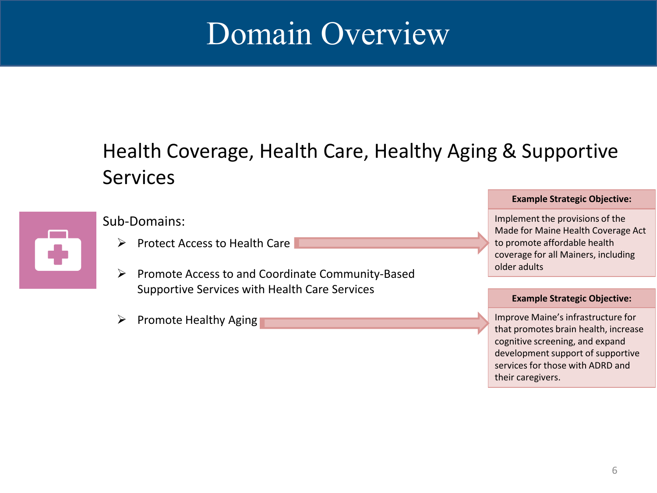### Health Coverage, Health Care, Healthy Aging & Supportive **Services**



#### Sub-Domains:

- $\triangleright$  Protect Access to Health Care
- $\triangleright$  Promote Access to and Coordinate Community-Based Supportive Services with Health Care Services
- 

#### **Example Strategic Objective:**

Implement the provisions of the Made for Maine Health Coverage Act to promote affordable health coverage for all Mainers, including older adults

#### **Example Strategic Objective:**

Promote Healthy Aging **Improve Maine's infrastructure for** that promotes brain health, increase cognitive screening, and expand development support of supportive services for those with ADRD and their caregivers.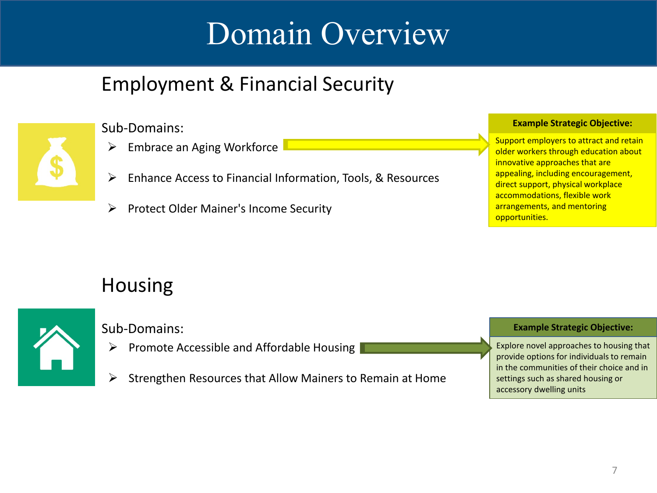### Employment & Financial Security



#### Sub-Domains:

- $\triangleright$  Embrace an Aging Workforce
- Enhance Access to Financial Information, Tools, & Resources
- $\triangleright$  Protect Older Mainer's Income Security

#### **Example Strategic Objective:**

Support employers to attract and retain older workers through education about innovative approaches that are appealing, including encouragement, direct support, physical workplace accommodations, flexible work arrangements, and mentoring opportunities.

### Housing



Sub-Domains:

- Promote Accessible and Affordable Housing
- $\triangleright$  Strengthen Resources that Allow Mainers to Remain at Home

**Example Strategic Objective:**

Explore novel approaches to housing that provide options for individuals to remain in the communities of their choice and in settings such as shared housing or accessory dwelling units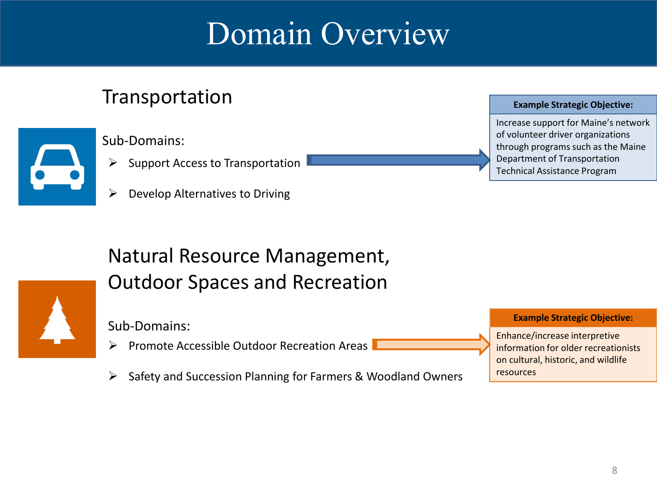### **Transportation**

#### Sub-Domains:

- Support Access to Transportation
- Develop Alternatives to Driving

#### **Example Strategic Objective:**

Increase support for Maine's network of volunteer driver organizations through programs such as the Maine Department of Transportation Technical Assistance Program

### Natural Resource Management, Outdoor Spaces and Recreation

Sub-Domains:

- Promote Accessible Outdoor Recreation Areas
- $\triangleright$  Safety and Succession Planning for Farmers & Woodland Owners

**Example Strategic Objective:**

Enhance/increase interpretive information for older recreationists on cultural, historic, and wildlife resources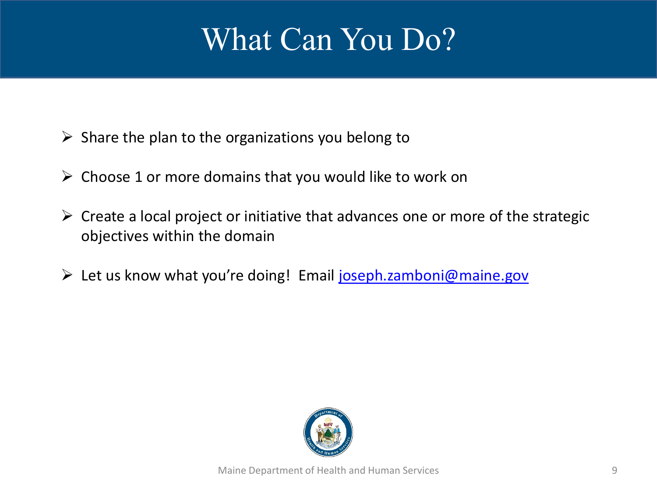# What Can You Do?

- $\triangleright$  Share the plan to the organizations you belong to
- $\triangleright$  Choose 1 or more domains that you would like to work on
- $\triangleright$  Create a local project or initiative that advances one or more of the strategic objectives within the domain
- Ext us know what you're doing! Email [joseph.zamboni@maine.gov](mailto:joseph.zamboni@maine.gov)

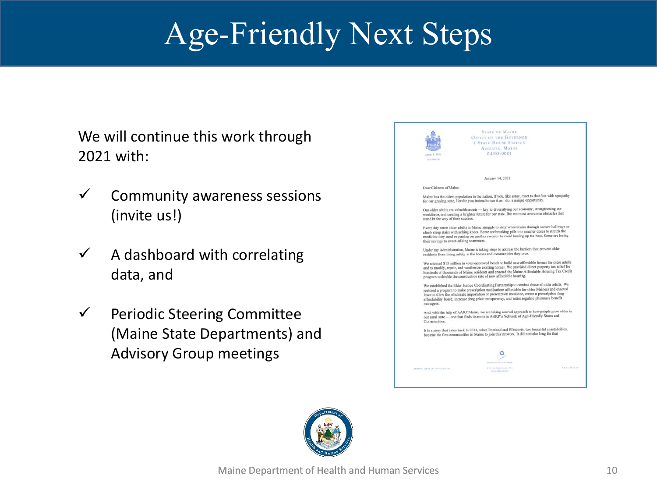# Age-Friendly Next Steps

We will continue this work through 2021 with:

- $\checkmark$  Community awareness sessions (invite us!)
- $\checkmark$  A dashboard with correlating data, and
- $\checkmark$  Periodic Steering Committee (Maine State Departments) and Advisory Group meetings

|                                          | <b>STATE OF MAINE</b>                                                                                                                                                                                                                                                                                                                                                                        |                       |
|------------------------------------------|----------------------------------------------------------------------------------------------------------------------------------------------------------------------------------------------------------------------------------------------------------------------------------------------------------------------------------------------------------------------------------------------|-----------------------|
|                                          | <b>OFFICE OF THE GOVERNOR</b>                                                                                                                                                                                                                                                                                                                                                                |                       |
|                                          | <b>1 STATE HOUSE STATION</b>                                                                                                                                                                                                                                                                                                                                                                 |                       |
|                                          | AUGUSTA, MAINE                                                                                                                                                                                                                                                                                                                                                                               |                       |
| Janet T. Mills                           | 04333-0001                                                                                                                                                                                                                                                                                                                                                                                   |                       |
| GOVERNOR                                 |                                                                                                                                                                                                                                                                                                                                                                                              |                       |
|                                          | January 14, 2021                                                                                                                                                                                                                                                                                                                                                                             |                       |
| Dear Citizens of Maine,                  |                                                                                                                                                                                                                                                                                                                                                                                              |                       |
|                                          | Maine has the oldest population in the nation. If you, like some, react to that fact with sympathy<br>for our graying state, I invite you instead to see it as I do: a unique opportunity.                                                                                                                                                                                                   |                       |
| stand in the way of their success.       | Our older adults are valuable assets - key to diversifying our economy, strengthening our<br>workforce, and creating a brighter future for our state. But we must overcome obstacles that                                                                                                                                                                                                    |                       |
| their savings to sweet-talking scammers. | Every day some older adults in Maine struggle to steer wheelchairs through narrow hallways or<br>climb steep stairs with aching knees. Some are breaking pills into smaller doses to stretch the<br>medicine they need or putting on another sweater to avoid turning up the heat. Some are losing                                                                                           |                       |
|                                          | Under my Administration, Maine is taking steps to address the barriers that prevent older<br>residents from living safely in the homes and communities they love.                                                                                                                                                                                                                            |                       |
|                                          | We released \$15 million in voter-approved bonds to build new affordable homes for older adults<br>and to modify, repair, and weatherize existing homes. We provided direct property tax relief for<br>hundreds of thousands of Maine residents and enacted the Maine Affordable Housing Tax Credit<br>program to double the construction rate of new affordable housing.                    |                       |
| managers.                                | We established the Elder Justice Coordinating Partnership to combat abuse of older adults. We<br>restored a program to make prescription medications affordable for older Mainers and enacted<br>laws to allow the wholesale importation of prescription medicine, create a prescription drug<br>affordability board, increase drug price transparency, and better regulate pharmacy benefit |                       |
| Communities.                             | And, with the help of AARP Maine, we are taking a novel approach to how people grow older in<br>our rural state - one that finds its roots in AARP's Network of Age-Friendly States and                                                                                                                                                                                                      |                       |
|                                          | It is a story that dates back to 2014, when Portland and Ellsworth, two beautiful coastal cities,<br>became the first communities in Maine to join this network. It did not take long for that                                                                                                                                                                                               |                       |
|                                          |                                                                                                                                                                                                                                                                                                                                                                                              |                       |
|                                          |                                                                                                                                                                                                                                                                                                                                                                                              |                       |
|                                          |                                                                                                                                                                                                                                                                                                                                                                                              | <b>EAX: CRITY 287</b> |

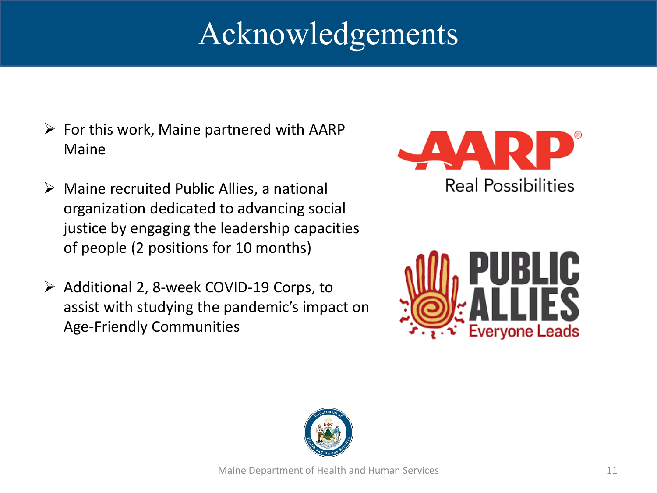# Acknowledgements

- $\triangleright$  For this work, Maine partnered with AARP Maine
- $\triangleright$  Maine recruited Public Allies, a national organization dedicated to advancing social justice by engaging the leadership capacities of people (2 positions for 10 months)
- $\triangleright$  Additional 2, 8-week COVID-19 Corps, to assist with studying the pandemic's impact on Age-Friendly Communities